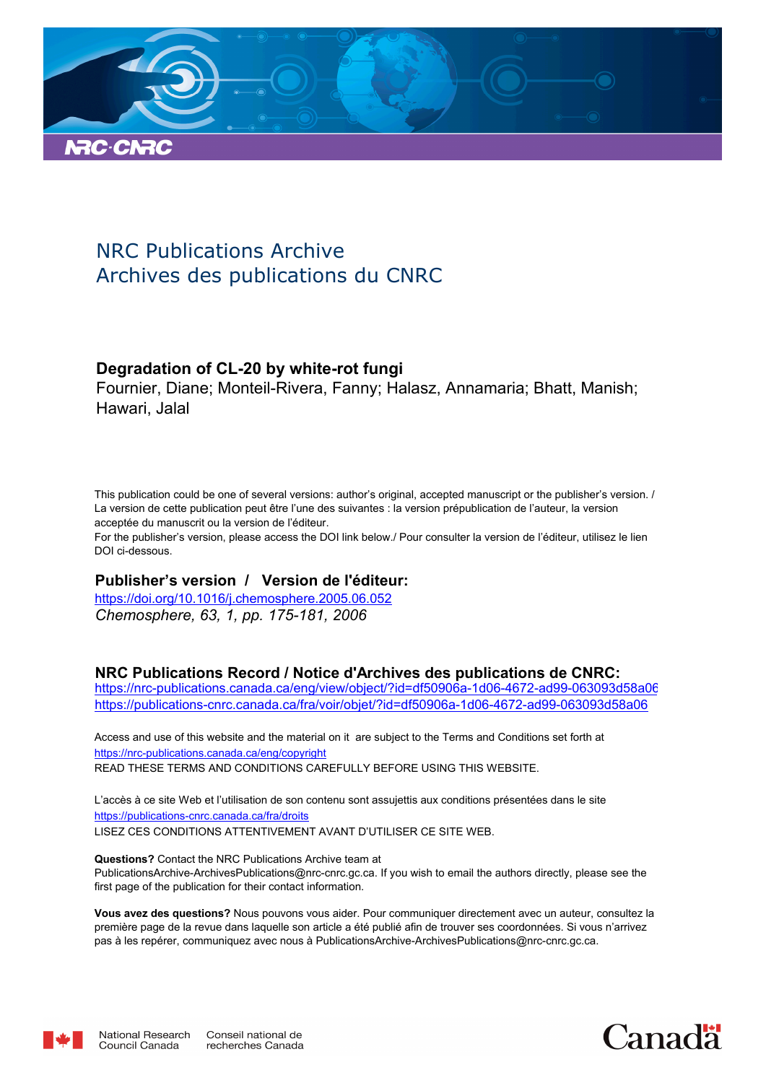

## NRC Publications Archive Archives des publications du CNRC

## **Degradation of CL-20 by white-rot fungi**

Fournier, Diane; Monteil-Rivera, Fanny; Halasz, Annamaria; Bhatt, Manish; Hawari, Jalal

This publication could be one of several versions: author's original, accepted manuscript or the publisher's version. / La version de cette publication peut être l'une des suivantes : la version prépublication de l'auteur, la version acceptée du manuscrit ou la version de l'éditeur.

For the publisher's version, please access the DOI link below./ Pour consulter la version de l'éditeur, utilisez le lien DOI ci-dessous.

## **Publisher's version / Version de l'éditeur:**

*Chemosphere, 63, 1, pp. 175-181, 2006* https://doi.org/10.1016/j.chemosphere.2005.06.052

## **NRC Publications Record / Notice d'Archives des publications de CNRC:**

https://nrc-publications.canada.ca/eng/view/object/?id=df50906a-1d06-4672-ad99-063093d58a06 https://publications-cnrc.canada.ca/fra/voir/objet/?id=df50906a-1d06-4672-ad99-063093d58a06

READ THESE TERMS AND CONDITIONS CAREFULLY BEFORE USING THIS WEBSITE. https://nrc-publications.canada.ca/eng/copyright Access and use of this website and the material on it are subject to the Terms and Conditions set forth at

https://publications-cnrc.canada.ca/fra/droits L'accès à ce site Web et l'utilisation de son contenu sont assujettis aux conditions présentées dans le site LISEZ CES CONDITIONS ATTENTIVEMENT AVANT D'UTILISER CE SITE WEB.

**Questions?** Contact the NRC Publications Archive team at PublicationsArchive-ArchivesPublications@nrc-cnrc.gc.ca. If you wish to email the authors directly, please see the first page of the publication for their contact information.

**Vous avez des questions?** Nous pouvons vous aider. Pour communiquer directement avec un auteur, consultez la première page de la revue dans laquelle son article a été publié afin de trouver ses coordonnées. Si vous n'arrivez pas à les repérer, communiquez avec nous à PublicationsArchive-ArchivesPublications@nrc-cnrc.gc.ca.



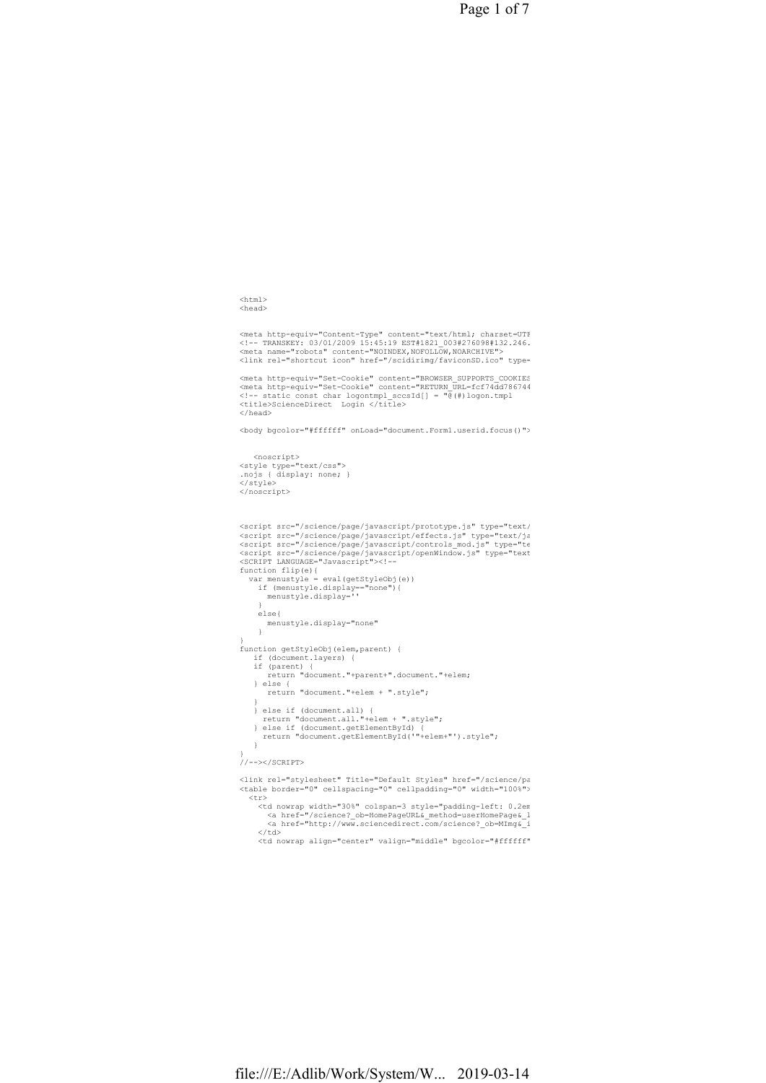Page 1 of 7

```
\verb|<html|<head>
```
<meta http-equiv="Content-Type" content="text/html; charset=UTF <!-- TRANSKEY: 03/01/2009 15:45:19 EST#1821\_003#276098#132.246.<br><meta name="robots" content="NOINDEX,NOFOLLOW,NOARCHIVE"><br><link rel="shortcut icon" href="/scidirimg/faviconSD.ico" type=

<meta http-equiv="Set-Cookie" content="BROWSER\_SUPPORTS\_COOKIES<br><meta http-equiv="Set-Cookie" content="RETURN\_URL=fcf74dd786744<br><!-- static const char logontmpl\_sccsId[] = "@(#)logon.tmpl<br><ti-1 static const char logontmpl\_ </head>

<body bgcolor="#ffffff" onLoad="document.Form1.userid.focus()">

```
<noscript><br>
<style type="text/css"><br>
.nojs { display: none; }
</style> 
</noscript>
```

```
<script src="/science/page/javascript/prototype.js" type="text/<br><script src="/science/page/javascript/effects.js" type="text/ja<br><script src="/science/page/javascript/controls_mod.js" type="te<br><script src="/science/page/jav
function flip(e){ 
var menustyle = eval(getStyleObj(e))<br>
if (menustyle.display=="none"){<br>
menustyle.display=''<br>
}
       else{ 
          menustyle.display="none" 
       } 
} 
function getStyleObj(elem,parent) { 
 if (document.layers) { 
 if (parent) { 
 return "document."+parent+".document."+elem; 
     } else { 
     return "document."+elem + ".style"; 
 } 
 } else if (document.all) { 
 return "document.all."+elem + ".style"; 
 } else if (document.getElementById) { 
 return "document.getElementById('"+elem+"').style"; 
     } 
} 
//--></SCRIPT> 
Klink rel="stylesheet" Title="Default Styles" href="/science/pa
<table border="0" cellspacing="0" cellpadding="0" width="100%"> 
 <tr>
```
<td nowrap width="30%" colspan=3 style="padding-left: 0.2em<br><a href="/science?\_ob=HomePageURL&\_method=userHomePage&\_1<br><a href="http://www.sciencedirect.com/science?\_ob=MImg&\_i  $\ell$ /td>

<td nowrap align="center" valign="middle" bgcolor="#ffffff">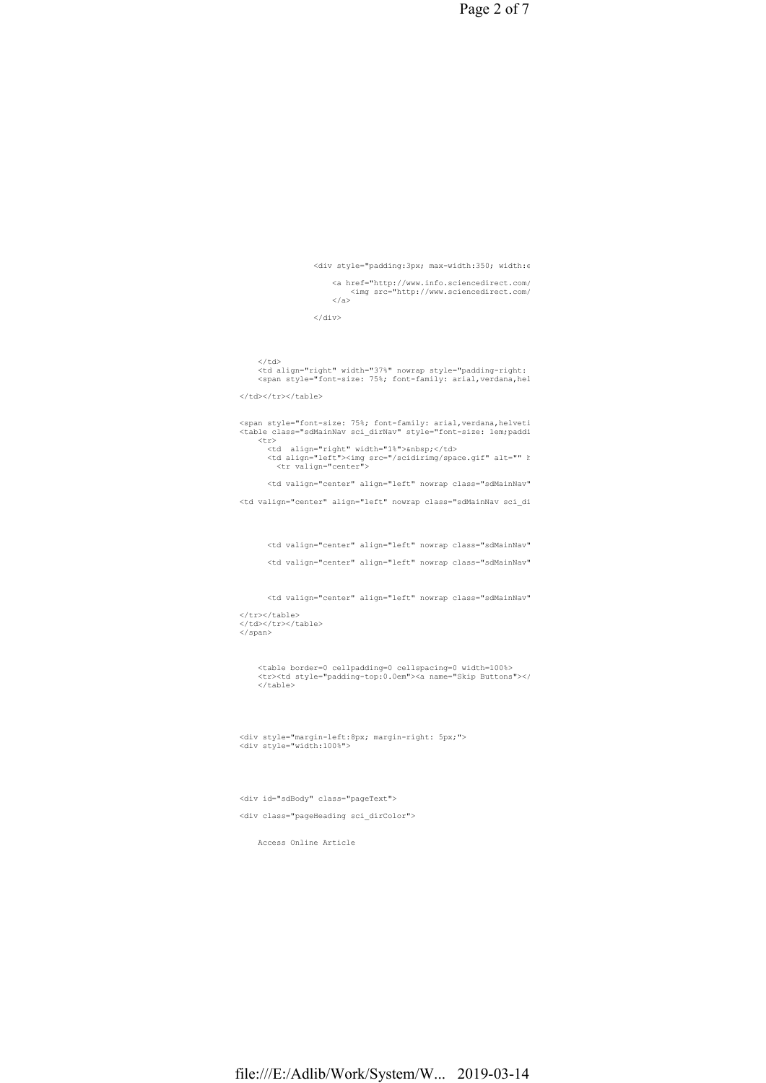file:///E:/Adlib/Work/System/W... 2019-03-14

 <table border=0 cellpadding=0 cellspacing=0 width=100%> <tr><td style="padding-top:0.0em"><a name="Skip Buttons"></a></td></tr>  $\langle$ /table>

<div style="margin-left:8px; margin-right: 5px;"> <div style="width:100%">

<div id="sdBody" class="pageText"> <div class="pageHeading sci\_dirColor">

Access Online Article

</tr></table> </td></tr></table> </span>

<td valign="center" align="left" nowrap class="sdMainNav sci\_di

<td valign="center" align="left" nowrap class="sdMainNav" <td valign="center" align="left" nowrap class="sdMainNav"

<td valign="center" align="left" nowrap class="sdMainNav"

<td valign="center" align="left" nowrap class="sdMainNav"

<span style="font-size: 75%; font-family: arial,verdana,helveti<br><table class="sdMainNav sci\_dirNav" style="font-size: 1em;paddi  $\frac{1}{\sin 2}$ <td align="right" width="1%">&nbsp;</td><br><td align="left"><img src="/scidirimg/space.gif" alt="" h<br><tr valign="center">

<td align="right" width="37%" nowrap style="padding-right:<br><span style="font-size: 75%; font-family: arial,verdana,hel </td></tr></table>

 $\langle$ /td>

 $\langle$ /div $>$ 

<a href="http://www.info.sciencedirect.com/<br><img src="http://www.sciencedirect.com/<br></a>

 $\langle$ div style="padding:3px; max-width:350; width: $\epsilon$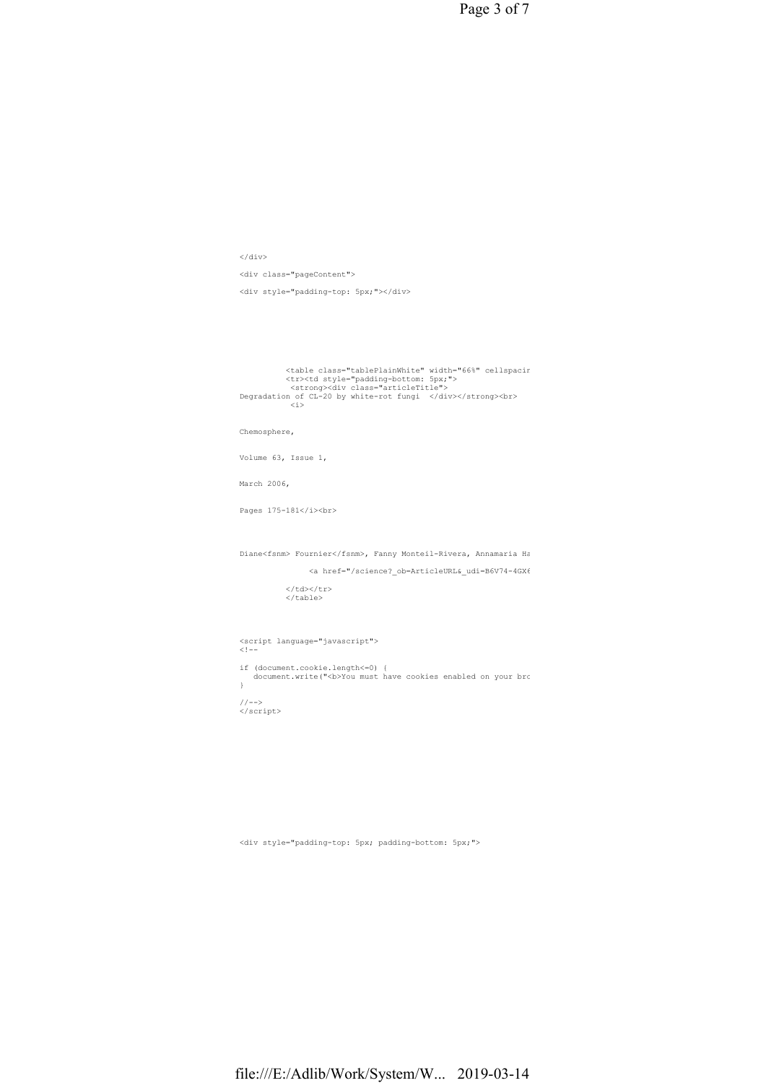Page 3 of 7

 $\langle$ /div $>$ <div class="pageContent"> <div style="padding-top: 5px;"></div>

<table class="tablePlainWhite" width="66%" cellspacing="0" cellpadding="0" > <tr><td style="padding-bottom: 5px;"> <strong><div class="articleTitle"> Degradation of CL-20 by white-rot fungi </div></strong><br> <i>

Chemosphere,

Volume 63, Issue 1,

March 2006,

Pages  $175-181$ </i><br>

Diane<fsnm> Fournier</fsnm>, Fanny Monteil-Rivera, Annamaria Ha

<a href="/science?\_ob=ArticleURL&\_udi=B6V74-4GX6

</td></tr> </table>

<script language="javascript"> <!--

if (document.cookie.length<=0) {<br>document.write("<b>You must have cookies enabled on your bro }

//--> </script>

<div style="padding-top: 5px; padding-bottom: 5px;">

file:///E:/Adlib/Work/System/W... 2019-03-14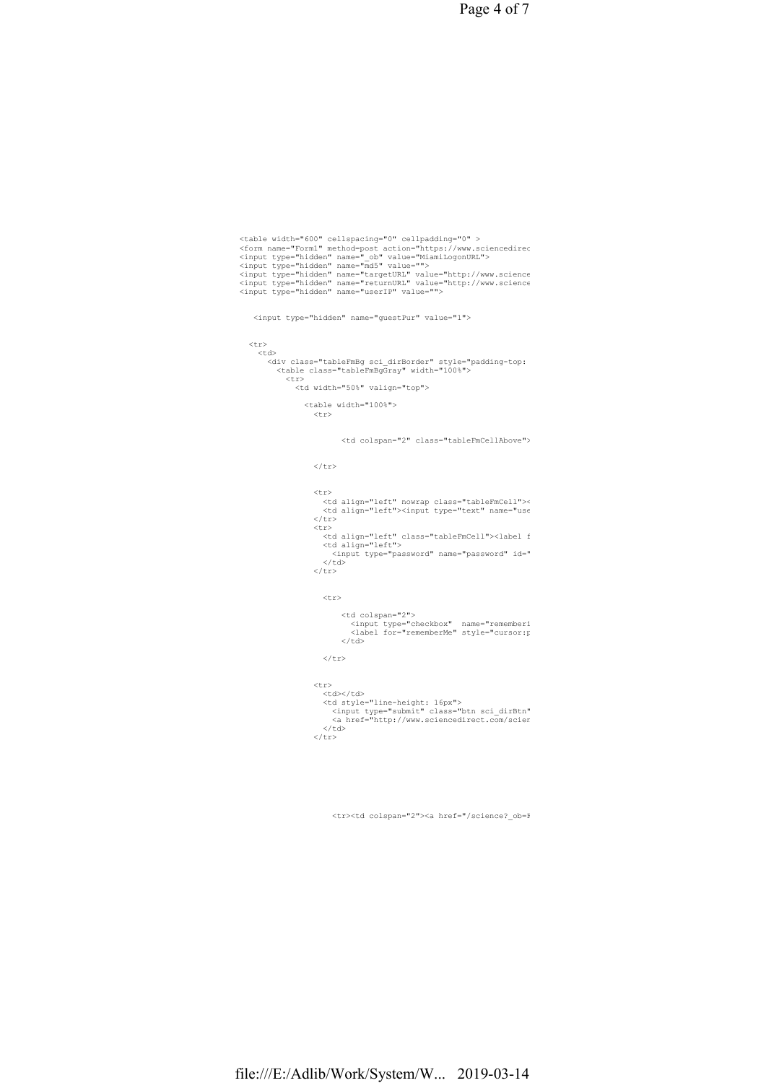Page 4 of 7

```
<table width="600" cellspacing="0" cellpadding="0" ><br><table width="Forml" method=post action="https://www.sciencedirec<br><input type="hidden" name=" ob" value="MiamiLogonURL"><br><input type="hidden" name="md5" value=""><br><input
   <input type="hidden" name="guestPur" value="1"> 
  <tr> 
   <+d><div class="tableFmBg sci_dirBorder" style="padding-top:<br><table class="tableFmBgGray" width="100%"><br><tr>
          <td width="50%" valign="top"> 
            <table width="100%"> 
             \frac{1}{\text{tr}}<td colspan="2" class="tableFmCellAbove">
             \langle/tr>
             \langle \text{tr} \rangle<td align="left" nowrap class="tableFmCell"><<br><td align="left"><input type="text" name="use
             \langle/tr>
             <tr>
<td align="left" class="tableFmCell"><label f<br><td align="left"><br></table name="password" id="<br></td>
             \langle/tr>
              \langle \text{trr} \rangle <td colspan="2"> 
<input type="checkbox" name="rememberi<br><label for="rememberMe" style="cursor:p
                  \langle/td>
              \langle/tr>
             <tr>
               <td></td> 
<td style="line-height: 16px"><br><input type="submit" class="btn sci_dirBtn"<br><a href="http://www.sciencedirect.com/scien<br></td>
             \frac{1}{\sqrt{t}}
```
<tr><td colspan="2"><a href="/science?\_ob=FederationURL&\_method=display&\_type=f&\_acct=C000050221&\_version=1&\_userid=10&md5=72fe293848689e52a10d612dfcfa3bd4">Athens/Institution Login</a></td></tr>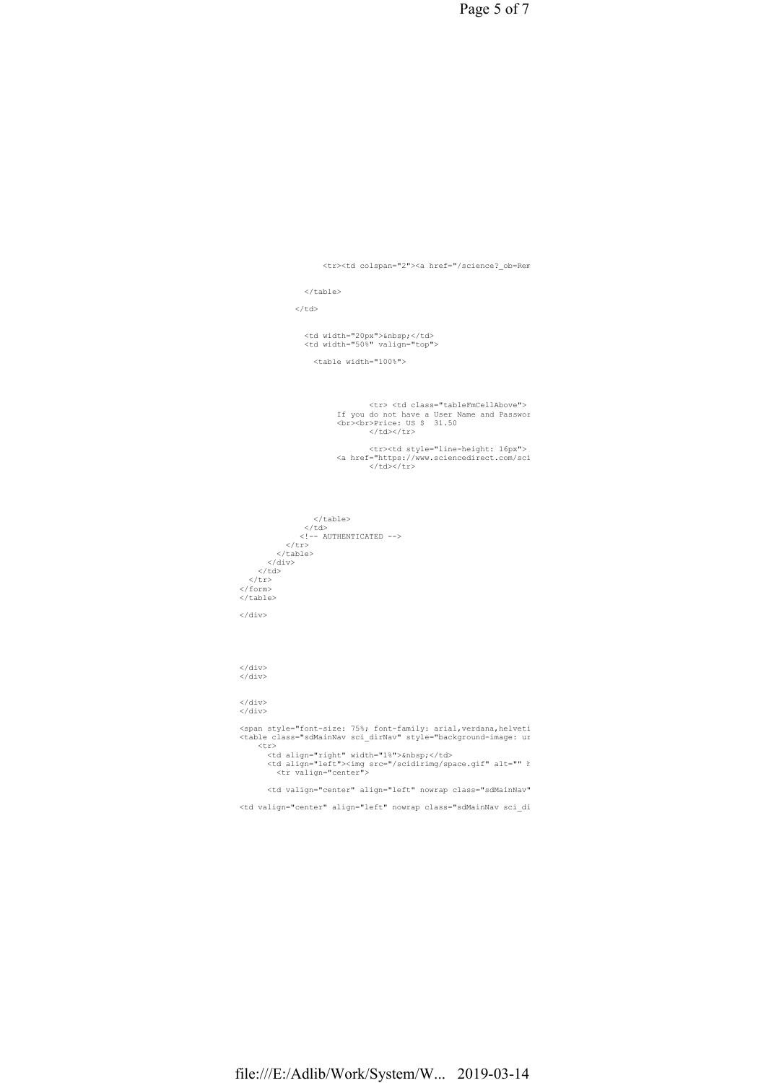Page 5 of 7

<tr><td colspan="2"><a href="/science?\_ob=Rem

</table>

 $\langle$ /td>

<td width="20px">&nbsp;</td> <td width="50%" valign="top">

<table width="100%">

 <tr> <td class="tableFmCellAbove"> If you do not have a User Name and Password, click the "Register to Purchase" button below to purchase this article. <br><br>Price: US \$ 31.50 </td></tr>

 <tr><td style="line-height: 16px"> <a href="https://www.sciencedirect.com/sci  $<$ /td></tr>

 </table> </td> <!-- AUTHENTICATED --> </tr> </table> </div> </td> </tr> </form>  $\langle$ /table>  $\langle$ /div $\rangle$ 

 $\langle$ /div $>$ </div>

</div>  $\frac{1}{\sqrt{div}}$ 

> <span style="font-size: 75%; font-family: arial,verdana,helveti<br><table class="sdMainNav sci dirNav" style="background-image: ur  $\langle \text{tr} \rangle$

> <td align="right" width="1%">&nbsp;</td><br><td align="left"><img src="/scidirimg/space.gif" alt="" h<br><tr valign="center">

<td valign="center" align="left" nowrap class="sdMainNav"

<td valign="center" align="left" nowrap class="sdMainNav sci\_di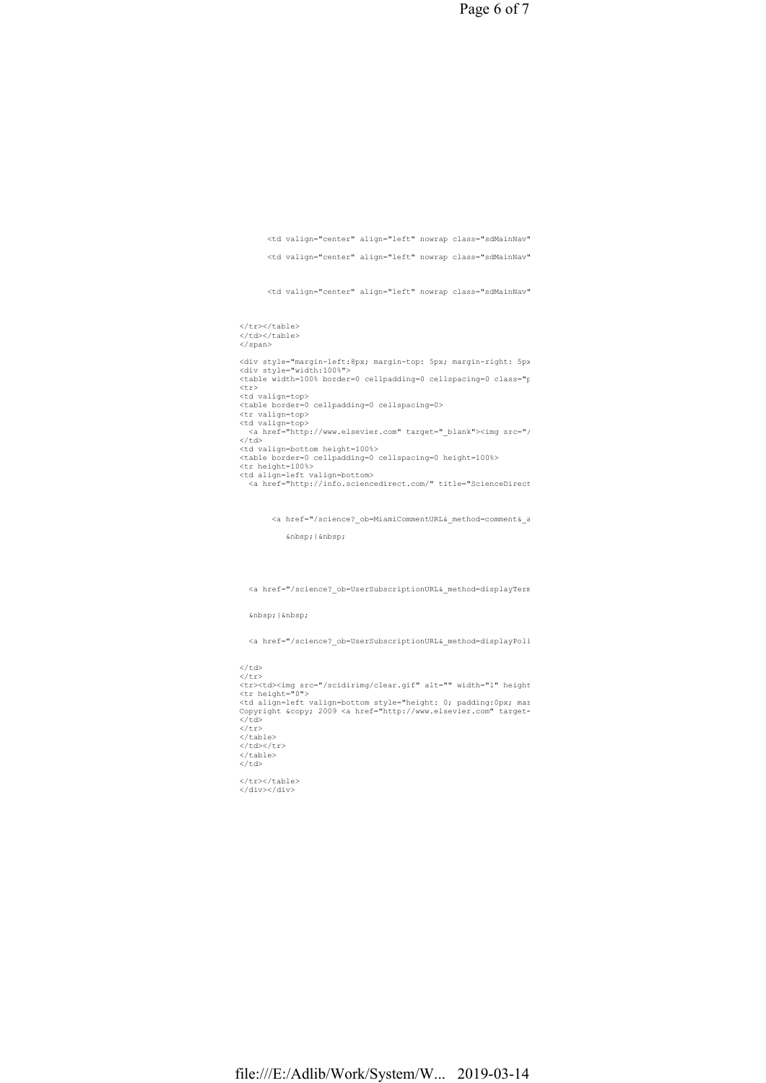Page 6 of 7

<td valign="center" align="left" nowrap class="sdMainNav" <td valign="center" align="left" nowrap class="sdMainNav" <td valign="center" align="left" nowrap class="sdMainNav" </tr></table> </td></table> </span> <div style="margin-left:8px; margin-top: 5px; margin-right: 5px<br><div style="width:100%"><br><table width=100% border=0 cellpadding=0 cellspacing=0 class="f <tr><br><td valign=top><br><table border=0 cellpadding=0 cellspacing=0><br><tr valign=top><br><td valign=top><br><a href="http://www.elsevier.com" target="\_blank"><img src="/<br><a href="http://www.elsevier.com" target="\_blank"><img src="/<br> <table border=0 cellpadding=0 cellspacing=0 height=100%> <tr height=100%> <td align=left valign=bottom><br><a href="http://info.sciencedirect.com/" title="ScienceDirect <a href="/science?\_ob=MiamiCommentURL&\_method=comment&\_a | <a href="/science?\_ob=UserSubscriptionURL&\_method=displayTerms&\_acct=C000050221&\_version=1&\_urlVersion=1&\_userid=10&md5=fee479c52e700c6acacefce9e2106a6f" target="\_top">Terms &amp; Conditions</a> &nbsp: |

<a href="/science?\_ob=UserSubscriptionURL&\_method=displayPolicy&\_acct=C000050221&\_version=1&\_urlVersion=1&\_userid=10&md5=9e5aa4a0cc7bfb68a086a1438e8bfb51" target="\_top">Privacy Policy</a>

 $\langle$ /td><br> $\langle$ /tr> </tr><br><tr><td><img src="/scidirimg/clear.gif" alt="" width="1" height<br><tr height="0"><br><td align=left valign=bottom style="height: 0; padding:0px; mar<br><cd align=left valign=bottom style="height: 0; padding:0px; mar<br>Copyrigh  $\langle$ /td> </tr><br></table>  $\langle$ /td> $\langle$ /tr> </table>  $\langle$ /td> </tr></table><br></div></div>